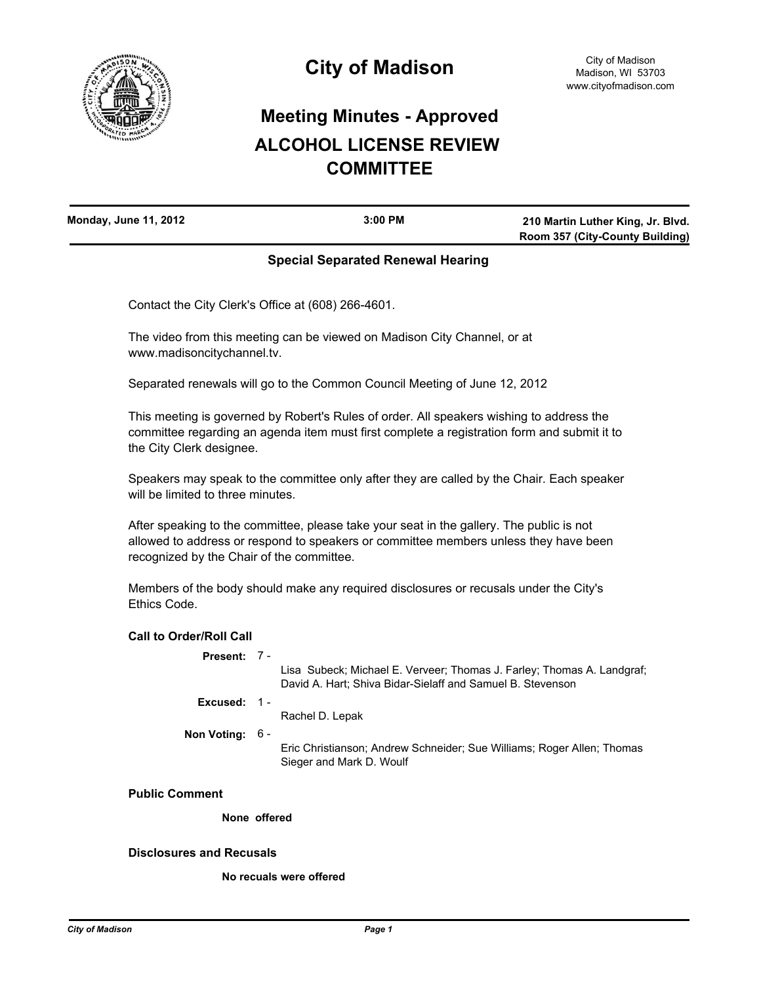

# **Meeting Minutes - Approved ALCOHOL LICENSE REVIEW COMMITTEE**

| <b>Monday, June 11, 2012</b> | $3:00$ PM | 210 Martin Luther King, Jr. Blvd. |
|------------------------------|-----------|-----------------------------------|
|                              |           | Room 357 (City-County Building)   |

## **Special Separated Renewal Hearing**

Contact the City Clerk's Office at (608) 266-4601.

The video from this meeting can be viewed on Madison City Channel, or at www.madisoncitychannel.tv.

Separated renewals will go to the Common Council Meeting of June 12, 2012

This meeting is governed by Robert's Rules of order. All speakers wishing to address the committee regarding an agenda item must first complete a registration form and submit it to the City Clerk designee.

Speakers may speak to the committee only after they are called by the Chair. Each speaker will be limited to three minutes.

After speaking to the committee, please take your seat in the gallery. The public is not allowed to address or respond to speakers or committee members unless they have been recognized by the Chair of the committee.

Members of the body should make any required disclosures or recusals under the City's Ethics Code.

## **Call to Order/Roll Call**

| <b>Present:</b> |  |
|-----------------|--|
|-----------------|--|

Lisa Subeck; Michael E. Verveer; Thomas J. Farley; Thomas A. Landgraf; David A. Hart; Shiva Bidar-Sielaff and Samuel B. Stevenson

**Excused:** 1 -

Rachel D. Lepak

**Non Voting:** 6 -

Eric Christianson; Andrew Schneider; Sue Williams; Roger Allen; Thomas Sieger and Mark D. Woulf

**Public Comment**

**None offered**

#### **Disclosures and Recusals**

**No recuals were offered**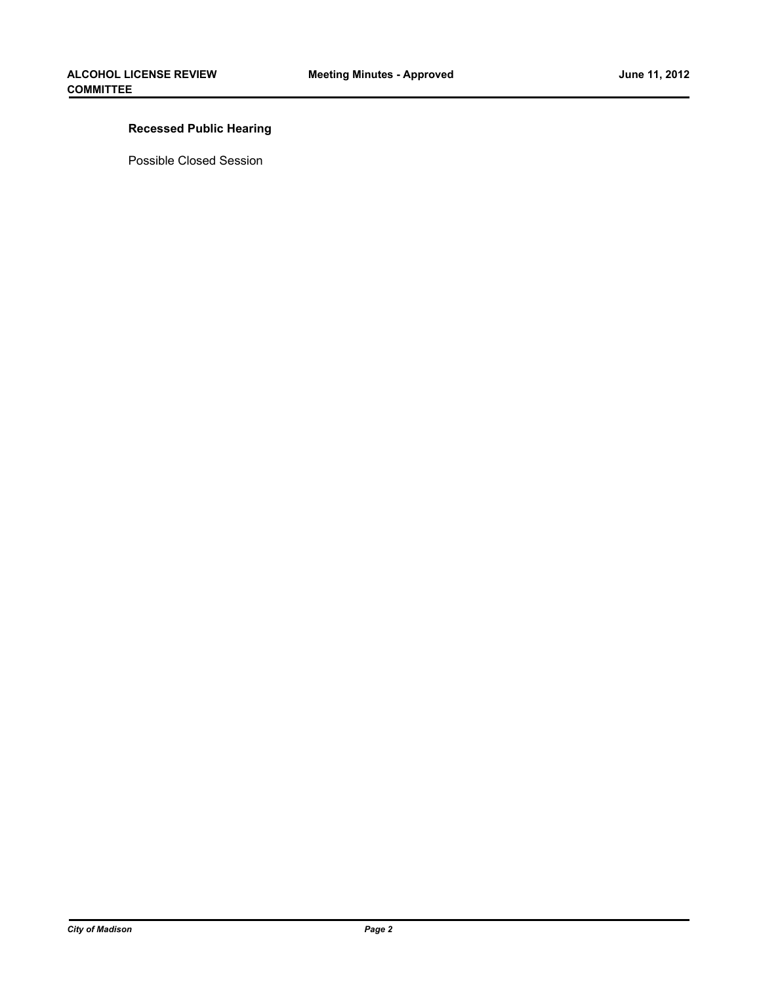## **Recessed Public Hearing**

Possible Closed Session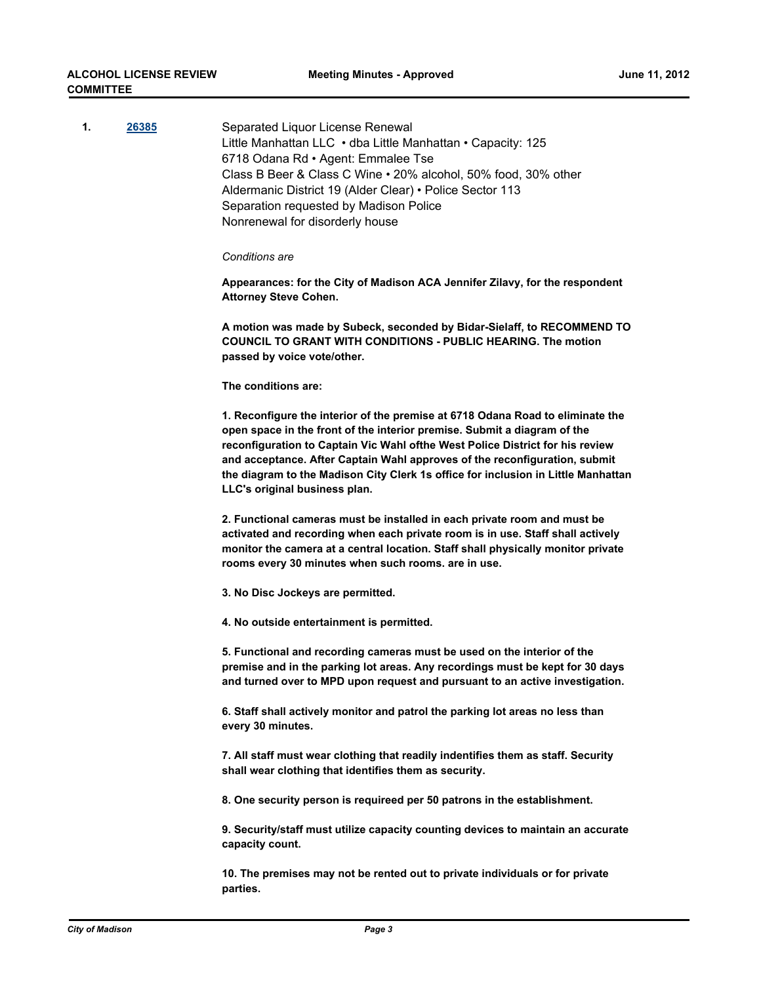| 1. | 26385 | Separated Liquor License Renewal<br>Little Manhattan LLC . dba Little Manhattan . Capacity: 125<br>6718 Odana Rd · Agent: Emmalee Tse<br>Class B Beer & Class C Wine • 20% alcohol, 50% food, 30% other<br>Aldermanic District 19 (Alder Clear) • Police Sector 113<br>Separation requested by Madison Police<br>Nonrenewal for disorderly house                                                                                                 |
|----|-------|--------------------------------------------------------------------------------------------------------------------------------------------------------------------------------------------------------------------------------------------------------------------------------------------------------------------------------------------------------------------------------------------------------------------------------------------------|
|    |       | Conditions are                                                                                                                                                                                                                                                                                                                                                                                                                                   |
|    |       | Appearances: for the City of Madison ACA Jennifer Zilavy, for the respondent<br><b>Attorney Steve Cohen.</b>                                                                                                                                                                                                                                                                                                                                     |
|    |       | A motion was made by Subeck, seconded by Bidar-Sielaff, to RECOMMEND TO<br><b>COUNCIL TO GRANT WITH CONDITIONS - PUBLIC HEARING. The motion</b><br>passed by voice vote/other.                                                                                                                                                                                                                                                                   |
|    |       | The conditions are:                                                                                                                                                                                                                                                                                                                                                                                                                              |
|    |       | 1. Reconfigure the interior of the premise at 6718 Odana Road to eliminate the<br>open space in the front of the interior premise. Submit a diagram of the<br>reconfiguration to Captain Vic Wahl of the West Police District for his review<br>and acceptance. After Captain Wahl approves of the reconfiguration, submit<br>the diagram to the Madison City Clerk 1s office for inclusion in Little Manhattan<br>LLC's original business plan. |
|    |       | 2. Functional cameras must be installed in each private room and must be<br>activated and recording when each private room is in use. Staff shall actively<br>monitor the camera at a central location. Staff shall physically monitor private<br>rooms every 30 minutes when such rooms. are in use.                                                                                                                                            |
|    |       | 3. No Disc Jockeys are permitted.                                                                                                                                                                                                                                                                                                                                                                                                                |
|    |       | 4. No outside entertainment is permitted.                                                                                                                                                                                                                                                                                                                                                                                                        |
|    |       | 5. Functional and recording cameras must be used on the interior of the<br>premise and in the parking lot areas. Any recordings must be kept for 30 days<br>and turned over to MPD upon request and pursuant to an active investigation.                                                                                                                                                                                                         |
|    |       | 6. Staff shall actively monitor and patrol the parking lot areas no less than<br>every 30 minutes.                                                                                                                                                                                                                                                                                                                                               |
|    |       | 7. All staff must wear clothing that readily indentifies them as staff. Security<br>shall wear clothing that identifies them as security.                                                                                                                                                                                                                                                                                                        |
|    |       | 8. One security person is requireed per 50 patrons in the establishment.                                                                                                                                                                                                                                                                                                                                                                         |
|    |       | 9. Security/staff must utilize capacity counting devices to maintain an accurate<br>capacity count.                                                                                                                                                                                                                                                                                                                                              |
|    |       | 10. The premises may not be rented out to private individuals or for private<br>parties.                                                                                                                                                                                                                                                                                                                                                         |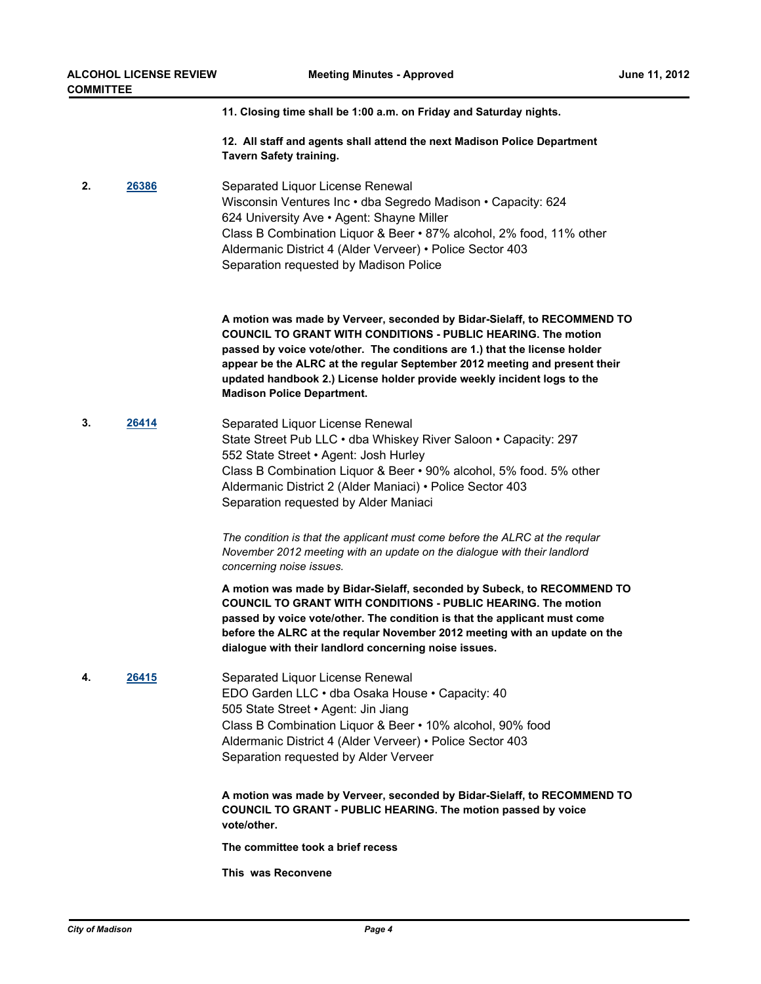**11. Closing time shall be 1:00 a.m. on Friday and Saturday nights.**

**12. All staff and agents shall attend the next Madison Police Department Tavern Safety training.**

**2. [26386](http://madison.legistar.com/gateway.aspx?m=l&id=/matter.aspx?key=29028)** Separated Liquor License Renewal Wisconsin Ventures Inc • dba Segredo Madison • Capacity: 624 624 University Ave • Agent: Shayne Miller Class B Combination Liquor & Beer • 87% alcohol, 2% food, 11% other Aldermanic District 4 (Alder Verveer) • Police Sector 403 Separation requested by Madison Police

> **A motion was made by Verveer, seconded by Bidar-Sielaff, to RECOMMEND TO COUNCIL TO GRANT WITH CONDITIONS - PUBLIC HEARING. The motion passed by voice vote/other. The conditions are 1.) that the license holder appear be the ALRC at the regular September 2012 meeting and present their updated handbook 2.) License holder provide weekly incident logs to the Madison Police Department.**

**3. [26414](http://madison.legistar.com/gateway.aspx?m=l&id=/matter.aspx?key=29058)** Separated Liquor License Renewal State Street Pub LLC • dba Whiskey River Saloon • Capacity: 297 552 State Street • Agent: Josh Hurley Class B Combination Liquor & Beer • 90% alcohol, 5% food. 5% other Aldermanic District 2 (Alder Maniaci) • Police Sector 403 Separation requested by Alder Maniaci

> *The condition is that the applicant must come before the ALRC at the reqular November 2012 meeting with an update on the dialogue with their landlord concerning noise issues.*

**A motion was made by Bidar-Sielaff, seconded by Subeck, to RECOMMEND TO COUNCIL TO GRANT WITH CONDITIONS - PUBLIC HEARING. The motion passed by voice vote/other. The condition is that the applicant must come before the ALRC at the reqular November 2012 meeting with an update on the dialogue with their landlord concerning noise issues.**

**4. [26415](http://madison.legistar.com/gateway.aspx?m=l&id=/matter.aspx?key=29060)** Separated Liquor License Renewal EDO Garden LLC • dba Osaka House • Capacity: 40 505 State Street • Agent: Jin Jiang Class B Combination Liquor & Beer • 10% alcohol, 90% food Aldermanic District 4 (Alder Verveer) • Police Sector 403 Separation requested by Alder Verveer

> **A motion was made by Verveer, seconded by Bidar-Sielaff, to RECOMMEND TO COUNCIL TO GRANT - PUBLIC HEARING. The motion passed by voice vote/other.**

**The committee took a brief recess**

**This was Reconvene**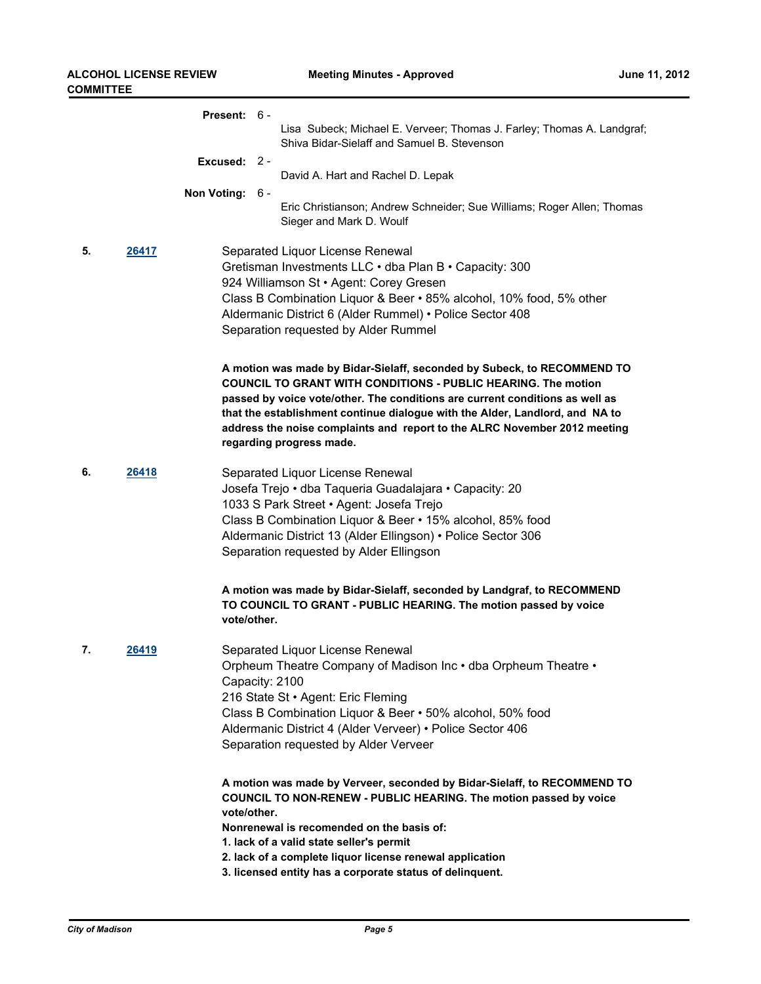|                                                                                                                                                                                                                                                          |       | Present: 6 -                                                        |       |                                                                                                                                                                                                                                                                                                                                                                                                                          |
|----------------------------------------------------------------------------------------------------------------------------------------------------------------------------------------------------------------------------------------------------------|-------|---------------------------------------------------------------------|-------|--------------------------------------------------------------------------------------------------------------------------------------------------------------------------------------------------------------------------------------------------------------------------------------------------------------------------------------------------------------------------------------------------------------------------|
|                                                                                                                                                                                                                                                          |       |                                                                     |       | Lisa Subeck; Michael E. Verveer; Thomas J. Farley; Thomas A. Landgraf;<br>Shiva Bidar-Sielaff and Samuel B. Stevenson                                                                                                                                                                                                                                                                                                    |
|                                                                                                                                                                                                                                                          |       | Excused:                                                            | $2 -$ | David A. Hart and Rachel D. Lepak                                                                                                                                                                                                                                                                                                                                                                                        |
|                                                                                                                                                                                                                                                          |       | Non Voting: 6 -                                                     |       | Eric Christianson; Andrew Schneider; Sue Williams; Roger Allen; Thomas<br>Sieger and Mark D. Woulf                                                                                                                                                                                                                                                                                                                       |
| 5.<br>Separated Liquor License Renewal<br>26417<br>Gretisman Investments LLC . dba Plan B . Capacity: 300<br>924 Williamson St · Agent: Corey Gresen<br>Aldermanic District 6 (Alder Rummel) • Police Sector 408<br>Separation requested by Alder Rummel |       | Class B Combination Liquor & Beer • 85% alcohol, 10% food, 5% other |       |                                                                                                                                                                                                                                                                                                                                                                                                                          |
|                                                                                                                                                                                                                                                          |       |                                                                     |       | A motion was made by Bidar-Sielaff, seconded by Subeck, to RECOMMEND TO<br><b>COUNCIL TO GRANT WITH CONDITIONS - PUBLIC HEARING. The motion</b><br>passed by voice vote/other. The conditions are current conditions as well as<br>that the establishment continue dialogue with the Alder, Landlord, and NA to<br>address the noise complaints and report to the ALRC November 2012 meeting<br>regarding progress made. |
| 6.                                                                                                                                                                                                                                                       | 26418 |                                                                     |       | Separated Liquor License Renewal<br>Josefa Trejo · dba Taqueria Guadalajara · Capacity: 20<br>1033 S Park Street · Agent: Josefa Trejo<br>Class B Combination Liquor & Beer • 15% alcohol, 85% food<br>Aldermanic District 13 (Alder Ellingson) • Police Sector 306<br>Separation requested by Alder Ellingson                                                                                                           |
|                                                                                                                                                                                                                                                          |       | vote/other.                                                         |       | A motion was made by Bidar-Sielaff, seconded by Landgraf, to RECOMMEND<br>TO COUNCIL TO GRANT - PUBLIC HEARING. The motion passed by voice                                                                                                                                                                                                                                                                               |
| 7.                                                                                                                                                                                                                                                       | 26419 | Capacity: 2100                                                      |       | Separated Liquor License Renewal<br>Orpheum Theatre Company of Madison Inc . dba Orpheum Theatre .<br>216 State St · Agent: Eric Fleming<br>Class B Combination Liquor & Beer . 50% alcohol, 50% food<br>Aldermanic District 4 (Alder Verveer) • Police Sector 406<br>Separation requested by Alder Verveer                                                                                                              |
|                                                                                                                                                                                                                                                          |       | vote/other.                                                         |       | A motion was made by Verveer, seconded by Bidar-Sielaff, to RECOMMEND TO<br>COUNCIL TO NON-RENEW - PUBLIC HEARING. The motion passed by voice<br>Nonrenewal is recomended on the basis of:<br>1. lack of a valid state seller's permit<br>2. lack of a complete liquor license renewal application<br>3. licensed entity has a corporate status of delinquent.                                                           |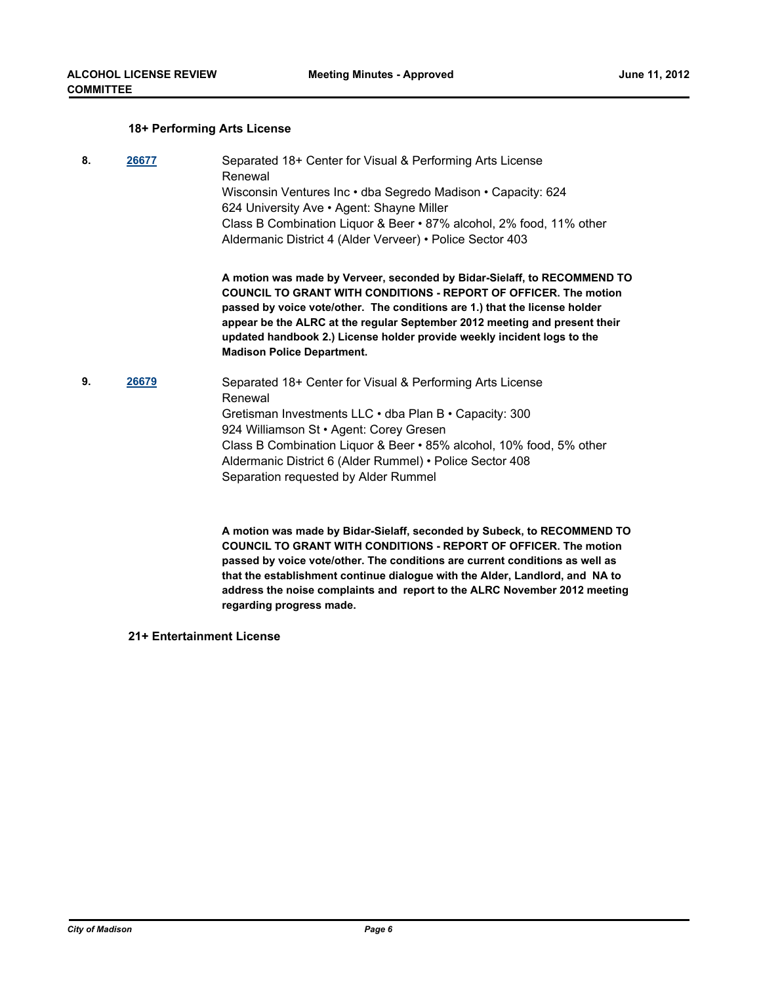#### **18+ Performing Arts License**

- **8. [26677](http://madison.legistar.com/gateway.aspx?m=l&id=/matter.aspx?key=29333)** Separated 18+ Center for Visual & Performing Arts License Renewal Wisconsin Ventures Inc • dba Segredo Madison • Capacity: 624 624 University Ave • Agent: Shayne Miller Class B Combination Liquor & Beer • 87% alcohol, 2% food, 11% other Aldermanic District 4 (Alder Verveer) • Police Sector 403 **A motion was made by Verveer, seconded by Bidar-Sielaff, to RECOMMEND TO COUNCIL TO GRANT WITH CONDITIONS - REPORT OF OFFICER. The motion passed by voice vote/other. The conditions are 1.) that the license holder appear be the ALRC at the regular September 2012 meeting and present their updated handbook 2.) License holder provide weekly incident logs to the Madison Police Department. 9. [26679](http://madison.legistar.com/gateway.aspx?m=l&id=/matter.aspx?key=29335)** Separated 18+ Center for Visual & Performing Arts License
	- Renewal Gretisman Investments LLC • dba Plan B • Capacity: 300 924 Williamson St • Agent: Corey Gresen Class B Combination Liquor & Beer • 85% alcohol, 10% food, 5% other Aldermanic District 6 (Alder Rummel) • Police Sector 408 Separation requested by Alder Rummel

**A motion was made by Bidar-Sielaff, seconded by Subeck, to RECOMMEND TO COUNCIL TO GRANT WITH CONDITIONS - REPORT OF OFFICER. The motion passed by voice vote/other. The conditions are current conditions as well as that the establishment continue dialogue with the Alder, Landlord, and NA to address the noise complaints and report to the ALRC November 2012 meeting regarding progress made.**

**21+ Entertainment License**